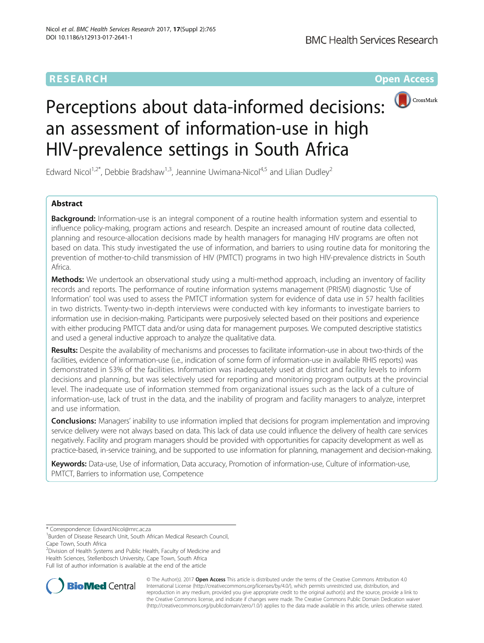## **RESEARCH CHEAR CHEAR CHEAR CHEAR CHEAR CHEAR CHEAR CHEAR CHEAR CHEAR CHEAR CHEAR CHEAR CHEAR CHEAR CHEAR CHEAR**



# Perceptions about data-informed decisions: an assessment of information-use in high HIV-prevalence settings in South Africa

Edward Nicol<sup>1,2\*</sup>, Debbie Bradshaw<sup>1,3</sup>, Jeannine Uwimana-Nicol<sup>4,5</sup> and Lilian Dudley<sup>2</sup>

## Abstract

**Background:** Information-use is an integral component of a routine health information system and essential to influence policy-making, program actions and research. Despite an increased amount of routine data collected, planning and resource-allocation decisions made by health managers for managing HIV programs are often not based on data. This study investigated the use of information, and barriers to using routine data for monitoring the prevention of mother-to-child transmission of HIV (PMTCT) programs in two high HIV-prevalence districts in South Africa.

Methods: We undertook an observational study using a multi-method approach, including an inventory of facility records and reports. The performance of routine information systems management (PRISM) diagnostic 'Use of Information' tool was used to assess the PMTCT information system for evidence of data use in 57 health facilities in two districts. Twenty-two in-depth interviews were conducted with key informants to investigate barriers to information use in decision-making. Participants were purposively selected based on their positions and experience with either producing PMTCT data and/or using data for management purposes. We computed descriptive statistics and used a general inductive approach to analyze the qualitative data.

Results: Despite the availability of mechanisms and processes to facilitate information-use in about two-thirds of the facilities, evidence of information-use (i.e., indication of some form of information-use in available RHIS reports) was demonstrated in 53% of the facilities. Information was inadequately used at district and facility levels to inform decisions and planning, but was selectively used for reporting and monitoring program outputs at the provincial level. The inadequate use of information stemmed from organizational issues such as the lack of a culture of information-use, lack of trust in the data, and the inability of program and facility managers to analyze, interpret and use information.

**Conclusions:** Managers' inability to use information implied that decisions for program implementation and improving service delivery were not always based on data. This lack of data use could influence the delivery of health care services negatively. Facility and program managers should be provided with opportunities for capacity development as well as practice-based, in-service training, and be supported to use information for planning, management and decision-making.

Keywords: Data-use, Use of information, Data accuracy, Promotion of information-use, Culture of information-use, PMTCT, Barriers to information use, Competence

<sup>2</sup> Division of Health Systems and Public Health, Faculty of Medicine and Health Sciences, Stellenbosch University, Cape Town, South Africa Full list of author information is available at the end of the article



© The Author(s). 2017 **Open Access** This article is distributed under the terms of the Creative Commons Attribution 4.0 International License [\(http://creativecommons.org/licenses/by/4.0/](http://creativecommons.org/licenses/by/4.0/)), which permits unrestricted use, distribution, and reproduction in any medium, provided you give appropriate credit to the original author(s) and the source, provide a link to the Creative Commons license, and indicate if changes were made. The Creative Commons Public Domain Dedication waiver [\(http://creativecommons.org/publicdomain/zero/1.0/](http://creativecommons.org/publicdomain/zero/1.0/)) applies to the data made available in this article, unless otherwise stated.

<sup>\*</sup> Correspondence: [Edward.Nicol@mrc.ac.za](mailto:Edward.Nicol@mrc.ac.za) <sup>1</sup>

<sup>&</sup>lt;sup>1</sup>Burden of Disease Research Unit, South African Medical Research Council, Cape Town, South Africa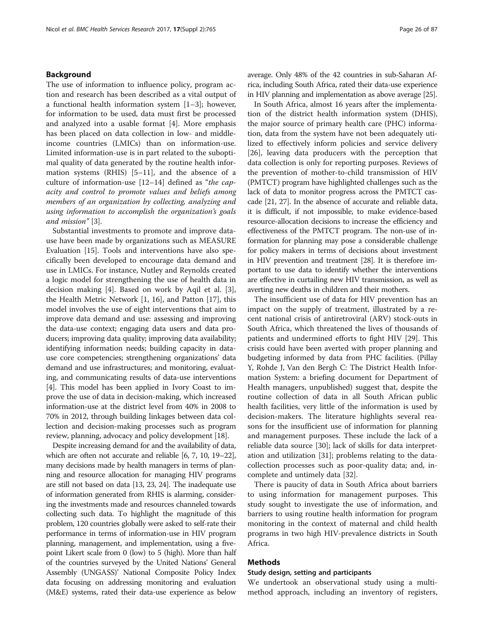## Background

The use of information to influence policy, program action and research has been described as a vital output of a functional health information system [\[1](#page-12-0)–[3\]](#page-12-0); however, for information to be used, data must first be processed and analyzed into a usable format [\[4](#page-12-0)]. More emphasis has been placed on data collection in low- and middleincome countries (LMICs) than on information-use. Limited information-use is in part related to the suboptimal quality of data generated by the routine health information systems (RHIS) [[5](#page-12-0)–[11\]](#page-12-0), and the absence of a culture of information-use [[12](#page-12-0)–[14\]](#page-12-0) defined as "the capacity and control to promote values and beliefs among members of an organization by collecting, analyzing and using information to accomplish the organization's goals and mission" [\[3](#page-12-0)].

Substantial investments to promote and improve datause have been made by organizations such as MEASURE Evaluation [[15\]](#page-12-0). Tools and interventions have also specifically been developed to encourage data demand and use in LMICs. For instance, Nutley and Reynolds created a logic model for strengthening the use of health data in decision making [[4](#page-12-0)]. Based on work by Aqil et al. [\[3](#page-12-0)], the Health Metric Network [[1](#page-12-0), [16\]](#page-12-0), and Patton [\[17](#page-12-0)], this model involves the use of eight interventions that aim to improve data demand and use: assessing and improving the data-use context; engaging data users and data producers; improving data quality; improving data availability; identifying information needs; building capacity in datause core competencies; strengthening organizations' data demand and use infrastructures; and monitoring, evaluating, and communicating results of data-use interventions [[4\]](#page-12-0). This model has been applied in Ivory Coast to improve the use of data in decision-making, which increased information-use at the district level from 40% in 2008 to 70% in 2012, through building linkages between data collection and decision-making processes such as program review, planning, advocacy and policy development [\[18\]](#page-13-0).

Despite increasing demand for and the availability of data, which are often not accurate and reliable [\[6, 7, 10,](#page-12-0) [19](#page-13-0)–[22](#page-13-0)], many decisions made by health managers in terms of planning and resource allocation for managing HIV programs are still not based on data [\[13,](#page-12-0) [23](#page-13-0), [24\]](#page-13-0). The inadequate use of information generated from RHIS is alarming, considering the investments made and resources channeled towards collecting such data. To highlight the magnitude of this problem, 120 countries globally were asked to self-rate their performance in terms of information-use in HIV program planning, management, and implementation, using a fivepoint Likert scale from 0 (low) to 5 (high). More than half of the countries surveyed by the United Nations' General Assembly (UNGASS)' National Composite Policy Index data focusing on addressing monitoring and evaluation (M&E) systems, rated their data-use experience as below average. Only 48% of the 42 countries in sub-Saharan Africa, including South Africa, rated their data-use experience in HIV planning and implementation as above average [[25](#page-13-0)].

In South Africa, almost 16 years after the implementation of the district health information system (DHIS), the major source of primary health care (PHC) information, data from the system have not been adequately utilized to effectively inform policies and service delivery [[26\]](#page-13-0), leaving data producers with the perception that data collection is only for reporting purposes. Reviews of the prevention of mother-to-child transmission of HIV (PMTCT) program have highlighted challenges such as the lack of data to monitor progress across the PMTCT cascade [[21](#page-13-0), [27](#page-13-0)]. In the absence of accurate and reliable data, it is difficult, if not impossible, to make evidence-based resource-allocation decisions to increase the efficiency and effectiveness of the PMTCT program. The non-use of information for planning may pose a considerable challenge for policy makers in terms of decisions about investment in HIV prevention and treatment [\[28\]](#page-13-0). It is therefore important to use data to identify whether the interventions are effective in curtailing new HIV transmission, as well as averting new deaths in children and their mothers.

The insufficient use of data for HIV prevention has an impact on the supply of treatment, illustrated by a recent national crisis of antiretroviral (ARV) stock-outs in South Africa, which threatened the lives of thousands of patients and undermined efforts to fight HIV [[29](#page-13-0)]. This crisis could have been averted with proper planning and budgeting informed by data from PHC facilities. (Pillay Y, Rohde J, Van den Bergh C: The District Health Information System: a briefing document for Department of Health managers, unpublished) suggest that, despite the routine collection of data in all South African public health facilities, very little of the information is used by decision-makers. The literature highlights several reasons for the insufficient use of information for planning and management purposes. These include the lack of a reliable data source [\[30](#page-13-0)]; lack of skills for data interpretation and utilization [\[31\]](#page-13-0); problems relating to the datacollection processes such as poor-quality data; and, incomplete and untimely data [\[32](#page-13-0)].

There is paucity of data in South Africa about barriers to using information for management purposes. This study sought to investigate the use of information, and barriers to using routine health information for program monitoring in the context of maternal and child health programs in two high HIV-prevalence districts in South Africa.

## Methods

## Study design, setting and participants

We undertook an observational study using a multimethod approach, including an inventory of registers,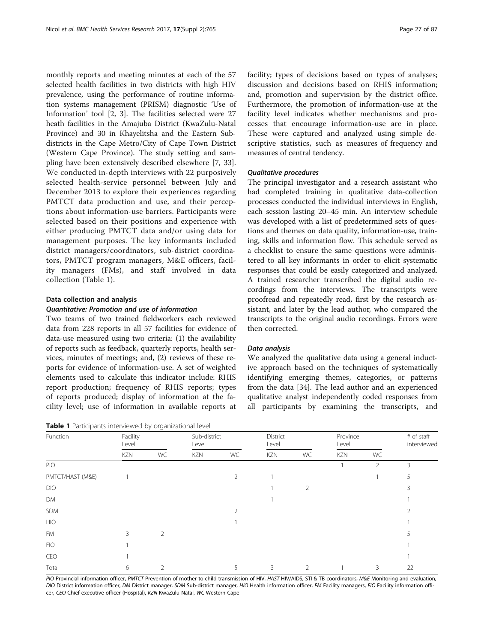monthly reports and meeting minutes at each of the 57 selected health facilities in two districts with high HIV prevalence, using the performance of routine information systems management (PRISM) diagnostic 'Use of Information' tool [[2, 3](#page-12-0)]. The facilities selected were 27 heath facilities in the Amajuba District (KwaZulu-Natal Province) and 30 in Khayelitsha and the Eastern Subdistricts in the Cape Metro/City of Cape Town District (Western Cape Province). The study setting and sampling have been extensively described elsewhere [\[7](#page-12-0), [33](#page-13-0)]. We conducted in-depth interviews with 22 purposively selected health-service personnel between July and December 2013 to explore their experiences regarding PMTCT data production and use, and their perceptions about information-use barriers. Participants were selected based on their positions and experience with either producing PMTCT data and/or using data for management purposes. The key informants included district managers/coordinators, sub-district coordinators, PMTCT program managers, M&E officers, facility managers (FMs), and staff involved in data collection (Table 1).

#### Data collection and analysis

#### Quantitative: Promotion and use of information

Two teams of two trained fieldworkers each reviewed data from 228 reports in all 57 facilities for evidence of data-use measured using two criteria: (1) the availability of reports such as feedback, quarterly reports, health services, minutes of meetings; and, (2) reviews of these reports for evidence of information-use. A set of weighted elements used to calculate this indicator include: RHIS report production; frequency of RHIS reports; types of reports produced; display of information at the facility level; use of information in available reports at

| Table 1 Participants interviewed by organizational level |  |  |  |  |
|----------------------------------------------------------|--|--|--|--|
|----------------------------------------------------------|--|--|--|--|

facility; types of decisions based on types of analyses; discussion and decisions based on RHIS information; and, promotion and supervision by the district office. Furthermore, the promotion of information-use at the facility level indicates whether mechanisms and processes that encourage information-use are in place. These were captured and analyzed using simple descriptive statistics, such as measures of frequency and measures of central tendency.

#### Qualitative procedures

The principal investigator and a research assistant who had completed training in qualitative data-collection processes conducted the individual interviews in English, each session lasting 20–45 min. An interview schedule was developed with a list of predetermined sets of questions and themes on data quality, information-use, training, skills and information flow. This schedule served as a checklist to ensure the same questions were administered to all key informants in order to elicit systematic responses that could be easily categorized and analyzed. A trained researcher transcribed the digital audio recordings from the interviews. The transcripts were proofread and repeatedly read, first by the research assistant, and later by the lead author, who compared the transcripts to the original audio recordings. Errors were then corrected.

## Data analysis

We analyzed the qualitative data using a general inductive approach based on the techniques of systematically identifying emerging themes, categories, or patterns from the data [[34](#page-13-0)]. The lead author and an experienced qualitative analyst independently coded responses from all participants by examining the transcripts, and

| . .<br>Function  | $\sim$<br>Facility<br>Level |                | Sub-district<br>Level |    | District<br>Level |    | Province<br>Level |    | # of staff<br>interviewed |
|------------------|-----------------------------|----------------|-----------------------|----|-------------------|----|-------------------|----|---------------------------|
|                  | KZN                         | WC             | KZN                   | WC | KZN               | WC | KZN               | WC |                           |
| PIO              |                             |                |                       |    |                   |    |                   | 2  | 3                         |
| PMTCT/HAST (M&E) |                             |                |                       | 2  |                   |    |                   |    | 5                         |
| DIO              |                             |                |                       |    |                   | 2  |                   |    | 3                         |
| DM               |                             |                |                       |    |                   |    |                   |    |                           |
| SDM              |                             |                |                       | 2  |                   |    |                   |    | $\mathfrak{D}$            |
| <b>HIO</b>       |                             |                |                       |    |                   |    |                   |    |                           |
| FM               | 3                           | $\overline{2}$ |                       |    |                   |    |                   |    |                           |
| <b>FIO</b>       |                             |                |                       |    |                   |    |                   |    |                           |
| CEO              |                             |                |                       |    |                   |    |                   |    |                           |
| Total            | 6                           | 2              |                       | 5  | 3                 | 2  |                   | 3  | 22                        |

PIO Provincial information officer, PMTCT Prevention of mother-to-child transmission of HIV, HAST HIV/AIDS, STI & TB coordinators, M&E Monitoring and evaluation, DIO District information officer, DM District manager, SDM Sub-district manager, HIO Health information officer, FM Facility managers, FIO Facility information officer, CEO Chief executive officer (Hospital), KZN KwaZulu-Natal, WC Western Cape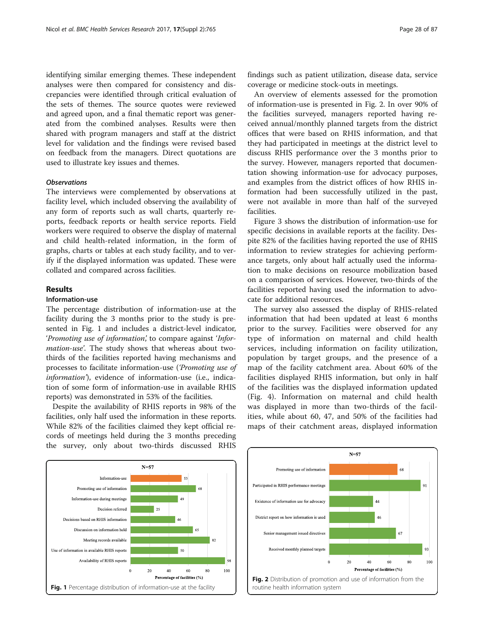identifying similar emerging themes. These independent analyses were then compared for consistency and discrepancies were identified through critical evaluation of the sets of themes. The source quotes were reviewed and agreed upon, and a final thematic report was generated from the combined analyses. Results were then shared with program managers and staff at the district level for validation and the findings were revised based on feedback from the managers. Direct quotations are used to illustrate key issues and themes.

## **Observations**

The interviews were complemented by observations at facility level, which included observing the availability of any form of reports such as wall charts, quarterly reports, feedback reports or health service reports. Field workers were required to observe the display of maternal and child health-related information, in the form of graphs, charts or tables at each study facility, and to verify if the displayed information was updated. These were collated and compared across facilities.

#### Results

#### Information-use

The percentage distribution of information-use at the facility during the 3 months prior to the study is presented in Fig. 1 and includes a district-level indicator, 'Promoting use of information', to compare against 'Information-use'. The study shows that whereas about twothirds of the facilities reported having mechanisms and processes to facilitate information-use ('Promoting use of information'), evidence of information-use (i.e., indication of some form of information-use in available RHIS reports) was demonstrated in 53% of the facilities.

Despite the availability of RHIS reports in 98% of the facilities, only half used the information in these reports. While 82% of the facilities claimed they kept official records of meetings held during the 3 months preceding the survey, only about two-thirds discussed RHIS

findings such as patient utilization, disease data, service coverage or medicine stock-outs in meetings.

An overview of elements assessed for the promotion of information-use is presented in Fig. 2. In over 90% of the facilities surveyed, managers reported having received annual/monthly planned targets from the district offices that were based on RHIS information, and that they had participated in meetings at the district level to discuss RHIS performance over the 3 months prior to the survey. However, managers reported that documentation showing information-use for advocacy purposes, and examples from the district offices of how RHIS information had been successfully utilized in the past, were not available in more than half of the surveyed facilities.

Figure [3](#page-4-0) shows the distribution of information-use for specific decisions in available reports at the facility. Despite 82% of the facilities having reported the use of RHIS information to review strategies for achieving performance targets, only about half actually used the information to make decisions on resource mobilization based on a comparison of services. However, two-thirds of the facilities reported having used the information to advocate for additional resources.

The survey also assessed the display of RHIS-related information that had been updated at least 6 months prior to the survey. Facilities were observed for any type of information on maternal and child health services, including information on facility utilization, population by target groups, and the presence of a map of the facility catchment area. About 60% of the facilities displayed RHIS information, but only in half of the facilities was the displayed information updated (Fig. [4](#page-4-0)). Information on maternal and child health was displayed in more than two-thirds of the facilities, while about 60, 47, and 50% of the facilities had maps of their catchment areas, displayed information



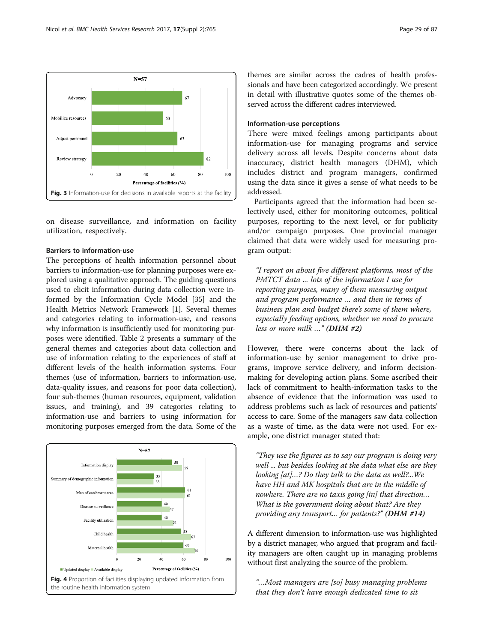<span id="page-4-0"></span>

on disease surveillance, and information on facility utilization, respectively.

#### Barriers to information-use

The perceptions of health information personnel about barriers to information-use for planning purposes were explored using a qualitative approach. The guiding questions used to elicit information during data collection were informed by the Information Cycle Model [\[35](#page-13-0)] and the Health Metrics Network Framework [[1\]](#page-12-0). Several themes and categories relating to information-use, and reasons why information is insufficiently used for monitoring purposes were identified. Table [2](#page-5-0) presents a summary of the general themes and categories about data collection and use of information relating to the experiences of staff at different levels of the health information systems. Four themes (use of information, barriers to information-use, data-quality issues, and reasons for poor data collection), four sub-themes (human resources, equipment, validation issues, and training), and 39 categories relating to information-use and barriers to using information for monitoring purposes emerged from the data. Some of the



themes are similar across the cadres of health professionals and have been categorized accordingly. We present in detail with illustrative quotes some of the themes observed across the different cadres interviewed.

## Information-use perceptions

There were mixed feelings among participants about information-use for managing programs and service delivery across all levels. Despite concerns about data inaccuracy, district health managers (DHM), which includes district and program managers, confirmed using the data since it gives a sense of what needs to be addressed.

Participants agreed that the information had been selectively used, either for monitoring outcomes, political purposes, reporting to the next level, or for publicity and/or campaign purposes. One provincial manager claimed that data were widely used for measuring program output:

"I report on about five different platforms, most of the PMTCT data ... lots of the information I use for reporting purposes, many of them measuring output and program performance … and then in terms of business plan and budget there's some of them where, especially feeding options, whether we need to procure less or more milk …" (DHM #2)

However, there were concerns about the lack of information-use by senior management to drive programs, improve service delivery, and inform decisionmaking for developing action plans. Some ascribed their lack of commitment to health-information tasks to the absence of evidence that the information was used to address problems such as lack of resources and patients' access to care. Some of the managers saw data collection as a waste of time, as the data were not used. For example, one district manager stated that:

"They use the figures as to say our program is doing very well ... but besides looking at the data what else are they looking [at]…? Do they talk to the data as well?...We have HH and MK hospitals that are in the middle of nowhere. There are no taxis going [in] that direction… What is the government doing about that? Are they providing any transport… for patients?" (DHM #14)

A different dimension to information-use was highlighted by a district manager, who argued that program and facility managers are often caught up in managing problems without first analyzing the source of the problem.

"…Most managers are [so] busy managing problems that they don't have enough dedicated time to sit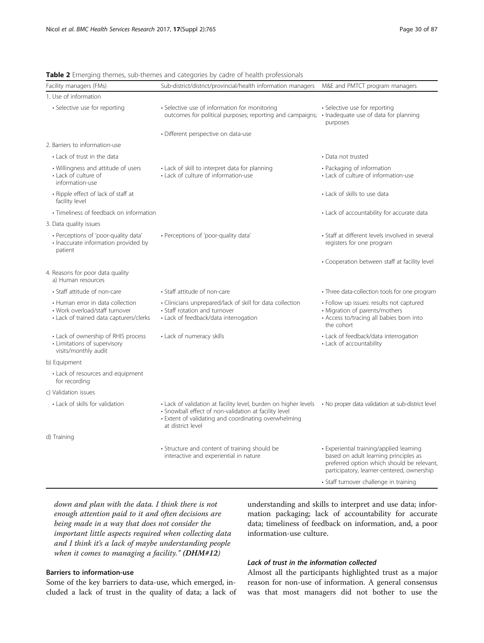<span id="page-5-0"></span>

| <b>Table 2</b> Emerging themes, sub-themes and categories by cadre of health professionals |  |  |
|--------------------------------------------------------------------------------------------|--|--|
|                                                                                            |  |  |

| Facility managers (FMs)                                                                                       | Sub-district/district/provincial/health information managers                                                                                                                                                                                            | M&E and PMTCT program managers                                                                                                                                                |  |  |
|---------------------------------------------------------------------------------------------------------------|---------------------------------------------------------------------------------------------------------------------------------------------------------------------------------------------------------------------------------------------------------|-------------------------------------------------------------------------------------------------------------------------------------------------------------------------------|--|--|
| 1. Use of information                                                                                         |                                                                                                                                                                                                                                                         |                                                                                                                                                                               |  |  |
| • Selective use for reporting                                                                                 | • Selective use of information for monitoring<br>outcomes for political purposes; reporting and campaigns; · Inadequate use of data for planning<br>· Different perspective on data-use                                                                 | • Selective use for reporting<br>purposes                                                                                                                                     |  |  |
| 2. Barriers to information-use                                                                                |                                                                                                                                                                                                                                                         |                                                                                                                                                                               |  |  |
| • Lack of trust in the data                                                                                   |                                                                                                                                                                                                                                                         | • Data not trusted                                                                                                                                                            |  |  |
| • Willingness and attitude of users<br>• Lack of culture of<br>information-use                                | • Lack of skill to interpret data for planning<br>• Lack of culture of information-use                                                                                                                                                                  | • Packaging of information<br>• Lack of culture of information-use                                                                                                            |  |  |
| • Ripple effect of lack of staff at<br>facility level                                                         |                                                                                                                                                                                                                                                         | • Lack of skills to use data                                                                                                                                                  |  |  |
| · Timeliness of feedback on information                                                                       |                                                                                                                                                                                                                                                         | • Lack of accountability for accurate data                                                                                                                                    |  |  |
| 3. Data quality issues                                                                                        |                                                                                                                                                                                                                                                         |                                                                                                                                                                               |  |  |
| • Perceptions of 'poor-quality data'<br>· Inaccurate information provided by<br>patient                       | • Perceptions of 'poor-quality data'                                                                                                                                                                                                                    | · Staff at different levels involved in several<br>registers for one program                                                                                                  |  |  |
|                                                                                                               |                                                                                                                                                                                                                                                         | • Cooperation between staff at facility level                                                                                                                                 |  |  |
| 4. Reasons for poor data quality<br>a) Human resources                                                        |                                                                                                                                                                                                                                                         |                                                                                                                                                                               |  |  |
| • Staff attitude of non-care                                                                                  | · Staff attitude of non-care                                                                                                                                                                                                                            | • Three data-collection tools for one program                                                                                                                                 |  |  |
| • Human error in data collection<br>• Work overload/staff turnover<br>• Lack of trained data capturers/clerks | · Clinicians unprepared/lack of skill for data collection<br>• Staff rotation and turnover<br>• Lack of feedback/data interrogation                                                                                                                     | · Follow up issues: results not captured<br>· Migration of parents/mothers<br>• Access to/tracing all babies born into<br>the cohort                                          |  |  |
| • Lack of ownership of RHIS process<br>• Limitations of supervisory<br>visits/monthly audit                   | • Lack of numeracy skills                                                                                                                                                                                                                               | • Lack of feedback/data interrogation<br>• Lack of accountability                                                                                                             |  |  |
| b) Equipment                                                                                                  |                                                                                                                                                                                                                                                         |                                                                                                                                                                               |  |  |
| • Lack of resources and equipment<br>for recording                                                            |                                                                                                                                                                                                                                                         |                                                                                                                                                                               |  |  |
| c) Validation issues                                                                                          |                                                                                                                                                                                                                                                         |                                                                                                                                                                               |  |  |
| • Lack of skills for validation                                                                               | • Lack of validation at facility level, burden on higher levels • No proper data validation at sub-district level<br>· Snowball effect of non-validation at facility level<br>• Extent of validating and coordinating overwhelming<br>at district level |                                                                                                                                                                               |  |  |
| d) Training                                                                                                   |                                                                                                                                                                                                                                                         |                                                                                                                                                                               |  |  |
|                                                                                                               | • Structure and content of training should be<br>interactive and experiential in nature                                                                                                                                                                 | · Experiential training/applied learning<br>based on adult learning principles as<br>preferred option which should be relevant,<br>participatory, learner-centered, ownership |  |  |
|                                                                                                               |                                                                                                                                                                                                                                                         | · Staff turnover challenge in training                                                                                                                                        |  |  |

down and plan with the data. I think there is not enough attention paid to it and often decisions are being made in a way that does not consider the important little aspects required when collecting data and I think it's a lack of maybe understanding people when it comes to managing a facility."  $(DHM#12)$ 

## Barriers to information-use

Some of the key barriers to data-use, which emerged, included a lack of trust in the quality of data; a lack of understanding and skills to interpret and use data; information packaging; lack of accountability for accurate data; timeliness of feedback on information, and, a poor information-use culture.

## Lack of trust in the information collected

Almost all the participants highlighted trust as a major reason for non-use of information. A general consensus was that most managers did not bother to use the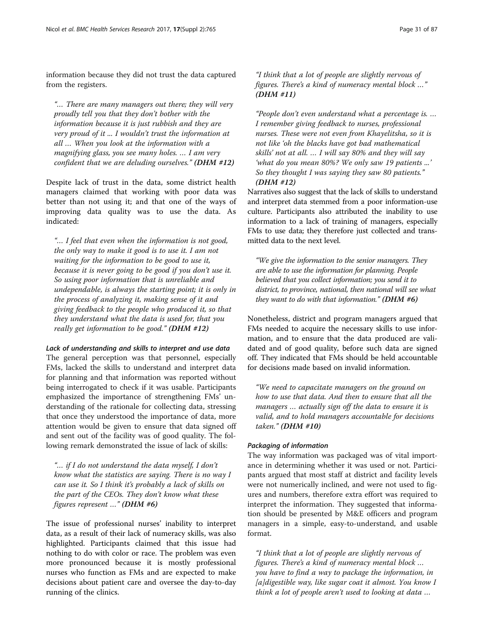information because they did not trust the data captured from the registers.

"… There are many managers out there; they will very proudly tell you that they don't bother with the information because it is just rubbish and they are very proud of it ... I wouldn't trust the information at all … When you look at the information with a magnifying glass, you see many holes. … I am very confident that we are deluding ourselves." (DHM #12)

Despite lack of trust in the data, some district health managers claimed that working with poor data was better than not using it; and that one of the ways of improving data quality was to use the data. As indicated:

"… I feel that even when the information is not good, the only way to make it good is to use it. I am not waiting for the information to be good to use it, because it is never going to be good if you don't use it. So using poor information that is unreliable and undependable, is always the starting point; it is only in the process of analyzing it, making sense of it and giving feedback to the people who produced it, so that they understand what the data is used for, that you really get information to be good." (DHM #12)

Lack of understanding and skills to interpret and use data The general perception was that personnel, especially FMs, lacked the skills to understand and interpret data for planning and that information was reported without being interrogated to check if it was usable. Participants emphasized the importance of strengthening FMs' understanding of the rationale for collecting data, stressing that once they understood the importance of data, more attention would be given to ensure that data signed off and sent out of the facility was of good quality. The following remark demonstrated the issue of lack of skills:

"… if I do not understand the data myself, I don't know what the statistics are saying. There is no way I can use it. So I think it's probably a lack of skills on the part of the CEOs. They don't know what these figures represent …" (DHM #6)

The issue of professional nurses' inability to interpret data, as a result of their lack of numeracy skills, was also highlighted. Participants claimed that this issue had nothing to do with color or race. The problem was even more pronounced because it is mostly professional nurses who function as FMs and are expected to make decisions about patient care and oversee the day-to-day running of the clinics.

"I think that a lot of people are slightly nervous of figures. There's a kind of numeracy mental block …" (DHM #11)

"People don't even understand what a percentage is. … I remember giving feedback to nurses, professional nurses. These were not even from Khayelitsha, so it is not like 'oh the blacks have got bad mathematical skills' not at all. … I will say 80% and they will say 'what do you mean 80%? We only saw 19 patients ...' So they thought I was saying they saw 80 patients." (DHM #12)

Narratives also suggest that the lack of skills to understand and interpret data stemmed from a poor information-use culture. Participants also attributed the inability to use information to a lack of training of managers, especially FMs to use data; they therefore just collected and transmitted data to the next level.

"We give the information to the senior managers. They are able to use the information for planning. People believed that you collect information; you send it to district, to province, national, then national will see what they want to do with that information."  $(DHM \#6)$ 

Nonetheless, district and program managers argued that FMs needed to acquire the necessary skills to use information, and to ensure that the data produced are validated and of good quality, before such data are signed off. They indicated that FMs should be held accountable for decisions made based on invalid information.

"We need to capacitate managers on the ground on how to use that data. And then to ensure that all the managers … actually sign off the data to ensure it is valid, and to hold managers accountable for decisions taken." (DHM #10)

### Packaging of information

The way information was packaged was of vital importance in determining whether it was used or not. Participants argued that most staff at district and facility levels were not numerically inclined, and were not used to figures and numbers, therefore extra effort was required to interpret the information. They suggested that information should be presented by M&E officers and program managers in a simple, easy-to-understand, and usable format.

"I think that a lot of people are slightly nervous of figures. There's a kind of numeracy mental block … you have to find a way to package the information, in [a]digestible way, like sugar coat it almost. You know I think a lot of people aren't used to looking at data …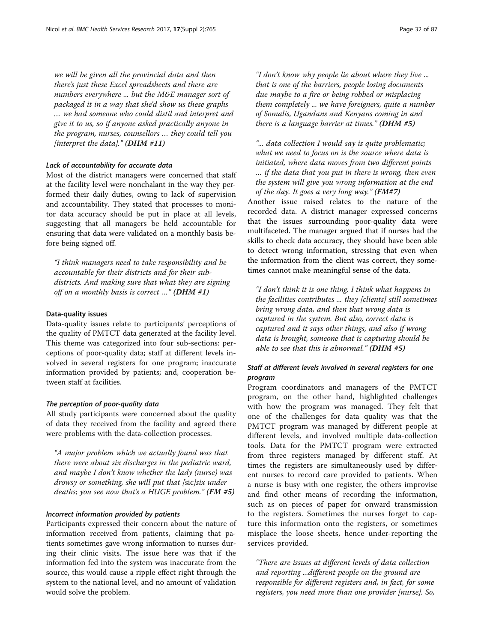we will be given all the provincial data and then there's just these Excel spreadsheets and there are numbers everywhere ... but the M&E manager sort of packaged it in a way that she'd show us these graphs … we had someone who could distil and interpret and give it to us, so if anyone asked practically anyone in the program, nurses, counsellors … they could tell you [interpret the data]."  $(DHM #11)$ 

## Lack of accountability for accurate data

Most of the district managers were concerned that staff at the facility level were nonchalant in the way they performed their daily duties, owing to lack of supervision and accountability. They stated that processes to monitor data accuracy should be put in place at all levels, suggesting that all managers be held accountable for ensuring that data were validated on a monthly basis before being signed off.

"I think managers need to take responsibility and be accountable for their districts and for their subdistricts. And making sure that what they are signing off on a monthly basis is correct ..." ( $DHM$ #1)

## Data-quality issues

Data-quality issues relate to participants' perceptions of the quality of PMTCT data generated at the facility level. This theme was categorized into four sub-sections: perceptions of poor-quality data; staff at different levels involved in several registers for one program; inaccurate information provided by patients; and, cooperation between staff at facilities.

#### The perception of poor-quality data

All study participants were concerned about the quality of data they received from the facility and agreed there were problems with the data-collection processes.

"A major problem which we actually found was that there were about six discharges in the pediatric ward, and maybe I don't know whether the lady (nurse) was drowsy or something, she will put that [sic]six under deaths; you see now that's a HUGE problem." (FM #5)

## Incorrect information provided by patients

Participants expressed their concern about the nature of information received from patients, claiming that patients sometimes gave wrong information to nurses during their clinic visits. The issue here was that if the information fed into the system was inaccurate from the source, this would cause a ripple effect right through the system to the national level, and no amount of validation would solve the problem.

"I don't know why people lie about where they live ... that is one of the barriers, people losing documents due maybe to a fire or being robbed or misplacing them completely ... we have foreigners, quite a number of Somalis, Ugandans and Kenyans coming in and there is a language barrier at times."  $(DHM \#5)$ 

"... data collection I would say is quite problematic; what we need to focus on is the source where data is initiated, where data moves from two different points … if the data that you put in there is wrong, then even the system will give you wrong information at the end of the day. It goes a very long way." (FM#7)

Another issue raised relates to the nature of the recorded data. A district manager expressed concerns that the issues surrounding poor-quality data were multifaceted. The manager argued that if nurses had the skills to check data accuracy, they should have been able to detect wrong information, stressing that even when the information from the client was correct, they sometimes cannot make meaningful sense of the data.

"I don't think it is one thing. I think what happens in the facilities contributes ... they [clients] still sometimes bring wrong data, and then that wrong data is captured in the system. But also, correct data is captured and it says other things, and also if wrong data is brought, someone that is capturing should be able to see that this is abnormal."  $(DHM \#5)$ 

## Staff at different levels involved in several registers for one program

Program coordinators and managers of the PMTCT program, on the other hand, highlighted challenges with how the program was managed. They felt that one of the challenges for data quality was that the PMTCT program was managed by different people at different levels, and involved multiple data-collection tools. Data for the PMTCT program were extracted from three registers managed by different staff. At times the registers are simultaneously used by different nurses to record care provided to patients. When a nurse is busy with one register, the others improvise and find other means of recording the information, such as on pieces of paper for onward transmission to the registers. Sometimes the nurses forget to capture this information onto the registers, or sometimes misplace the loose sheets, hence under-reporting the services provided.

"There are issues at different levels of data collection and reporting ...different people on the ground are responsible for different registers and, in fact, for some registers, you need more than one provider [nurse]. So,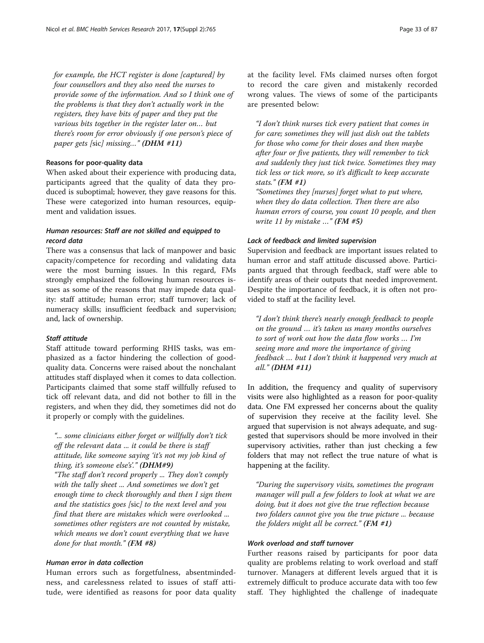for example, the HCT register is done [captured] by four counsellors and they also need the nurses to provide some of the information. And so I think one of the problems is that they don't actually work in the registers, they have bits of paper and they put the various bits together in the register later on… but there's room for error obviously if one person's piece of paper gets [sic] missing…" (DHM #11)

## Reasons for poor-quality data

When asked about their experience with producing data, participants agreed that the quality of data they produced is suboptimal; however, they gave reasons for this. These were categorized into human resources, equipment and validation issues.

## Human resources: Staff are not skilled and equipped to record data

There was a consensus that lack of manpower and basic capacity/competence for recording and validating data were the most burning issues. In this regard, FMs strongly emphasized the following human resources issues as some of the reasons that may impede data quality: staff attitude; human error; staff turnover; lack of numeracy skills; insufficient feedback and supervision; and, lack of ownership.

## Staff attitude

Staff attitude toward performing RHIS tasks, was emphasized as a factor hindering the collection of goodquality data. Concerns were raised about the nonchalant attitudes staff displayed when it comes to data collection. Participants claimed that some staff willfully refused to tick off relevant data, and did not bother to fill in the registers, and when they did, they sometimes did not do it properly or comply with the guidelines.

"... some clinicians either forget or willfully don't tick off the relevant data ... it could be there is staff attitude, like someone saying 'it's not my job kind of thing, it's someone else's'." (DHM#9)

"The staff don't record properly ... They don't comply with the tally sheet ... And sometimes we don't get enough time to check thoroughly and then I sign them and the statistics goes [sic] to the next level and you find that there are mistakes which were overlooked ... sometimes other registers are not counted by mistake, which means we don't count everything that we have done for that month." (FM #8)

#### Human error in data collection

Human errors such as forgetfulness, absentmindedness, and carelessness related to issues of staff attitude, were identified as reasons for poor data quality at the facility level. FMs claimed nurses often forgot to record the care given and mistakenly recorded wrong values. The views of some of the participants are presented below:

"I don't think nurses tick every patient that comes in for care; sometimes they will just dish out the tablets for those who come for their doses and then maybe after four or five patients, they will remember to tick and suddenly they just tick twice. Sometimes they may tick less or tick more, so it's difficult to keep accurate stats." (FM #1)

"Sometimes they [nurses] forget what to put where, when they do data collection. Then there are also human errors of course, you count 10 people, and then write 11 by mistake  $\ldots$ " (FM #5)

## Lack of feedback and limited supervision

Supervision and feedback are important issues related to human error and staff attitude discussed above. Participants argued that through feedback, staff were able to identify areas of their outputs that needed improvement. Despite the importance of feedback, it is often not provided to staff at the facility level.

"I don't think there's nearly enough feedback to people on the ground … it's taken us many months ourselves to sort of work out how the data flow works … I'm seeing more and more the importance of giving feedback … but I don't think it happened very much at all." (DHM #11)

In addition, the frequency and quality of supervisory visits were also highlighted as a reason for poor-quality data. One FM expressed her concerns about the quality of supervision they receive at the facility level. She argued that supervision is not always adequate, and suggested that supervisors should be more involved in their supervisory activities, rather than just checking a few folders that may not reflect the true nature of what is happening at the facility.

"During the supervisory visits, sometimes the program manager will pull a few folders to look at what we are doing, but it does not give the true reflection because two folders cannot give you the true picture ... because the folders might all be correct."  $(FM \# 1)$ 

#### Work overload and staff turnover

Further reasons raised by participants for poor data quality are problems relating to work overload and staff turnover. Managers at different levels argued that it is extremely difficult to produce accurate data with too few staff. They highlighted the challenge of inadequate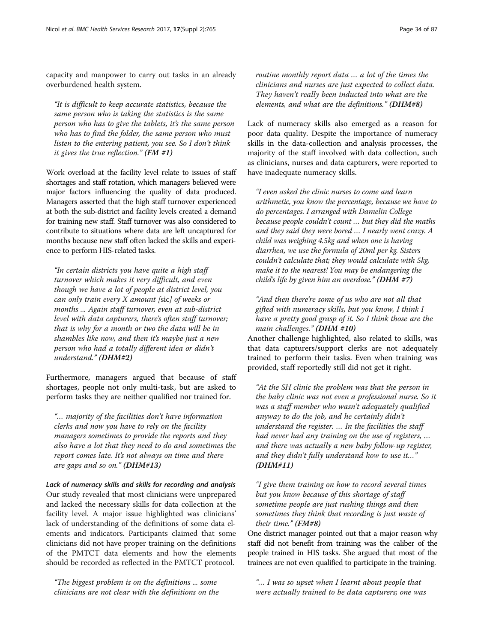capacity and manpower to carry out tasks in an already overburdened health system.

"It is difficult to keep accurate statistics, because the same person who is taking the statistics is the same person who has to give the tablets, it's the same person who has to find the folder, the same person who must listen to the entering patient, you see. So I don't think it gives the true reflection."  $(FM \# 1)$ 

Work overload at the facility level relate to issues of staff shortages and staff rotation, which managers believed were major factors influencing the quality of data produced. Managers asserted that the high staff turnover experienced at both the sub-district and facility levels created a demand for training new staff. Staff turnover was also considered to contribute to situations where data are left uncaptured for months because new staff often lacked the skills and experience to perform HIS-related tasks.

"In certain districts you have quite a high staff turnover which makes it very difficult, and even though we have a lot of people at district level, you can only train every  $X$  amount [sic] of weeks or months ... Again staff turnover, even at sub-district level with data capturers, there's often staff turnover; that is why for a month or two the data will be in shambles like now, and then it's maybe just a new person who had a totally different idea or didn't understand." (DHM#2)

Furthermore, managers argued that because of staff shortages, people not only multi-task, but are asked to perform tasks they are neither qualified nor trained for.

"… majority of the facilities don't have information clerks and now you have to rely on the facility managers sometimes to provide the reports and they also have a lot that they need to do and sometimes the report comes late. It's not always on time and there are gaps and so on." (DHM#13)

Lack of numeracy skills and skills for recording and analysis Our study revealed that most clinicians were unprepared and lacked the necessary skills for data collection at the facility level. A major issue highlighted was clinicians' lack of understanding of the definitions of some data elements and indicators. Participants claimed that some clinicians did not have proper training on the definitions of the PMTCT data elements and how the elements should be recorded as reflected in the PMTCT protocol.

"The biggest problem is on the definitions ... some clinicians are not clear with the definitions on the routine monthly report data … a lot of the times the clinicians and nurses are just expected to collect data. They haven't really been inducted into what are the elements, and what are the definitions." (DHM#8)

Lack of numeracy skills also emerged as a reason for poor data quality. Despite the importance of numeracy skills in the data-collection and analysis processes, the majority of the staff involved with data collection, such as clinicians, nurses and data capturers, were reported to have inadequate numeracy skills.

"I even asked the clinic nurses to come and learn arithmetic, you know the percentage, because we have to do percentages. I arranged with Damelin College because people couldn't count … but they did the maths and they said they were bored … I nearly went crazy. A child was weighing 4.5kg and when one is having diarrhea, we use the formula of 20ml per kg. Sisters couldn't calculate that; they would calculate with 5kg, make it to the nearest! You may be endangering the child's life by given him an overdose."  $(DHM \#7)$ 

"And then there're some of us who are not all that gifted with numeracy skills, but you know, I think I have a pretty good grasp of it. So I think those are the main challenges." (DHM #10)

Another challenge highlighted, also related to skills, was that data capturers/support clerks are not adequately trained to perform their tasks. Even when training was provided, staff reportedly still did not get it right.

"At the SH clinic the problem was that the person in the baby clinic was not even a professional nurse. So it was a staff member who wasn't adequately qualified anyway to do the job, and he certainly didn't understand the register. … In the facilities the staff had never had any training on the use of registers, … and there was actually a new baby follow-up register, and they didn't fully understand how to use it…" (DHM#11)

"I give them training on how to record several times but you know because of this shortage of staff sometime people are just rushing things and then sometimes they think that recording is just waste of their time." (FM#8)

One district manager pointed out that a major reason why staff did not benefit from training was the caliber of the people trained in HIS tasks. She argued that most of the trainees are not even qualified to participate in the training.

"… I was so upset when I learnt about people that were actually trained to be data capturers; one was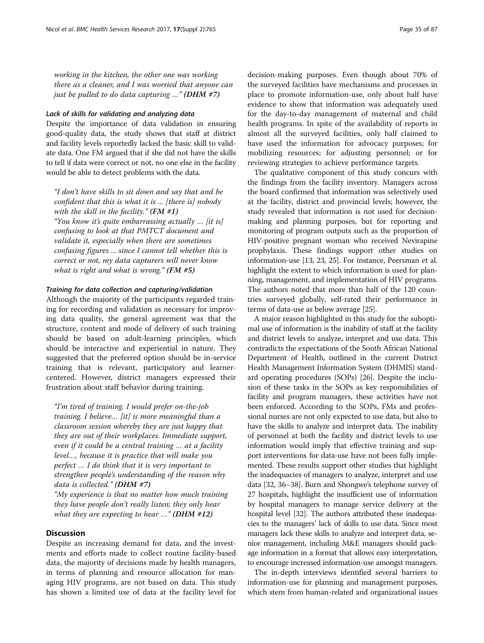working in the kitchen, the other one was working there as a cleaner, and I was worried that anyone can just be pulled to do data capturing ..." ( $DHM \#7$ )

## Lack of skills for validating and analyzing data

Despite the importance of data validation in ensuring good-quality data, the study shows that staff at district and facility levels reportedly lacked the basic skill to validate data. One FM argued that if she did not have the skills to tell if data were correct or not, no one else in the facility would be able to detect problems with the data.

"I don't have skills to sit down and say that and be confident that this is what it is ... [there is] nobody with the skill in the facility."  $(FM \# 1)$ "You know it's quite embarrassing actually … [it is] confusing to look at that PMTCT document and validate it, especially when there are sometimes confusing figures ... since I cannot tell whether this is correct or not, my data capturers will never know what is right and what is wrong." (FM #5)

## Training for data collection and capturing/validation

Although the majority of the participants regarded training for recording and validation as necessary for improving data quality, the general agreement was that the structure, content and mode of delivery of such training should be based on adult-learning principles, which should be interactive and experiential in nature. They suggested that the preferred option should be in-service training that is relevant, participatory and learnercentered. However, district managers expressed their frustration about staff behavior during training.

"I'm tired of training. I would prefer on-the-job training. I believe… [it] is more meaningful than a classroom session whereby they are just happy that they are out of their workplaces. Immediate support, even if it could be a central training … at a facility level…, because it is practice that will make you perfect … I do think that it is very important to strengthen people's understanding of the reason why data is collected." (DHM #7)

"My experience is that no matter how much training they have people don't really listen; they only hear what they are expecting to hear ..." (DHM #12)

## **Discussion**

Despite an increasing demand for data, and the investments and efforts made to collect routine facility-based data, the majority of decisions made by health managers, in terms of planning and resource allocation for managing HIV programs, are not based on data. This study has shown a limited use of data at the facility level for decision-making purposes. Even though about 70% of the surveyed facilities have mechanisms and processes in place to promote information-use, only about half have evidence to show that information was adequately used for the day-to-day management of maternal and child health programs. In spite of the availability of reports in almost all the surveyed facilities, only half claimed to have used the information for advocacy purposes; for mobilizing resources; for adjusting personnel; or for reviewing strategies to achieve performance targets.

The qualitative component of this study concurs with the findings from the facility inventory. Managers across the board confirmed that information was selectively used at the facility, district and provincial levels; however, the study revealed that information is not used for decisionmaking and planning purposes, but for reporting and monitoring of program outputs such as the proportion of HIV-positive pregnant woman who received Nevirapine prophylaxis. These findings support other studies on information-use [\[13,](#page-12-0) [23](#page-13-0), [25](#page-13-0)]. For instance, Peersman et al. highlight the extent to which information is used for planning, management, and implementation of HIV programs. The authors noted that more than half of the 120 countries surveyed globally, self-rated their performance in terms of data-use as below average [\[25\]](#page-13-0).

A major reason highlighted in this study for the suboptimal use of information is the inability of staff at the facility and district levels to analyze, interpret and use data. This contradicts the expectations of the South African National Department of Health, outlined in the current District Health Management Information System (DHMIS) standard operating procedures (SOPs) [\[26\]](#page-13-0). Despite the inclusion of these tasks in the SOPs as key responsibilities of facility and program managers, these activities have not been enforced. According to the SOPs, FMs and professional nurses are not only expected to use data, but also to have the skills to analyze and interpret data. The inability of personnel at both the facility and district levels to use information would imply that effective training and support interventions for data-use have not been fully implemented. These results support other studies that highlight the inadequacies of managers to analyze, interpret and use data [[32](#page-13-0), [36](#page-13-0)–[38](#page-13-0)]. Burn and Shongwe's telephone survey of 27 hospitals, highlight the insufficient use of information by hospital managers to manage service delivery at the hospital level [\[32\]](#page-13-0). The authors attributed these inadequacies to the managers' lack of skills to use data. Since most managers lack these skills to analyze and interpret data, senior management, including M&E managers should package information in a format that allows easy interpretation, to encourage increased information-use amongst managers.

The in-depth interviews identified several barriers to information-use for planning and management purposes, which stem from human-related and organizational issues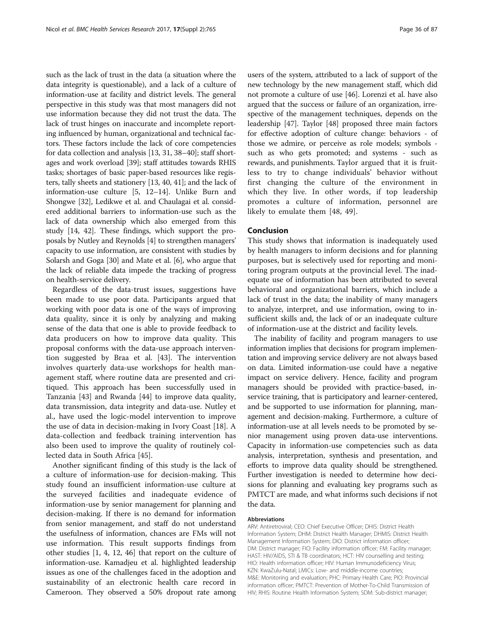such as the lack of trust in the data (a situation where the data integrity is questionable), and a lack of a culture of information-use at facility and district levels. The general perspective in this study was that most managers did not use information because they did not trust the data. The lack of trust hinges on inaccurate and incomplete reporting influenced by human, organizational and technical factors. These factors include the lack of core competencies for data collection and analysis [[13](#page-12-0), [31, 38](#page-13-0)–[40](#page-13-0)]; staff shortages and work overload [[39](#page-13-0)]; staff attitudes towards RHIS tasks; shortages of basic paper-based resources like registers, tally sheets and stationery [\[13,](#page-12-0) [40](#page-13-0), [41](#page-13-0)]; and the lack of information-use culture [[5](#page-12-0), [12](#page-12-0)–[14](#page-12-0)]. Unlike Burn and Shongwe [\[32\]](#page-13-0), Ledikwe et al. and Chaulagai et al. considered additional barriers to information-use such as the lack of data ownership which also emerged from this study [\[14,](#page-12-0) [42\]](#page-13-0). These findings, which support the proposals by Nutley and Reynolds [\[4\]](#page-12-0) to strengthen managers' capacity to use information, are consistent with studies by Solarsh and Goga [\[30\]](#page-13-0) and Mate et al. [[6](#page-12-0)], who argue that the lack of reliable data impede the tracking of progress on health-service delivery.

Regardless of the data-trust issues, suggestions have been made to use poor data. Participants argued that working with poor data is one of the ways of improving data quality, since it is only by analyzing and making sense of the data that one is able to provide feedback to data producers on how to improve data quality. This proposal conforms with the data-use approach intervention suggested by Braa et al. [[43\]](#page-13-0). The intervention involves quarterly data-use workshops for health management staff, where routine data are presented and critiqued. This approach has been successfully used in Tanzania [\[43\]](#page-13-0) and Rwanda [\[44](#page-13-0)] to improve data quality, data transmission, data integrity and data-use. Nutley et al., have used the logic-model intervention to improve the use of data in decision-making in Ivory Coast [\[18](#page-13-0)]. A data-collection and feedback training intervention has also been used to improve the quality of routinely collected data in South Africa [[45\]](#page-13-0).

Another significant finding of this study is the lack of a culture of information-use for decision-making. This study found an insufficient information-use culture at the surveyed facilities and inadequate evidence of information-use by senior management for planning and decision-making. If there is no demand for information from senior management, and staff do not understand the usefulness of information, chances are FMs will not use information. This result supports findings from other studies [\[1, 4, 12](#page-12-0), [46\]](#page-13-0) that report on the culture of information-use. Kamadjeu et al. highlighted leadership issues as one of the challenges faced in the adoption and sustainability of an electronic health care record in Cameroon. They observed a 50% dropout rate among

users of the system, attributed to a lack of support of the new technology by the new management staff, which did not promote a culture of use [[46](#page-13-0)]. Lorenzi et al. have also argued that the success or failure of an organization, irrespective of the management techniques, depends on the leadership [[47](#page-13-0)]. Taylor [\[48\]](#page-13-0) proposed three main factors for effective adoption of culture change: behaviors - of those we admire, or perceive as role models; symbols such as who gets promoted; and systems - such as rewards, and punishments. Taylor argued that it is fruitless to try to change individuals' behavior without first changing the culture of the environment in which they live. In other words, if top leadership promotes a culture of information, personnel are likely to emulate them [[48, 49\]](#page-13-0).

## Conclusion

This study shows that information is inadequately used by health managers to inform decisions and for planning purposes, but is selectively used for reporting and monitoring program outputs at the provincial level. The inadequate use of information has been attributed to several behavioral and organizational barriers, which include a lack of trust in the data; the inability of many managers to analyze, interpret, and use information, owing to insufficient skills and, the lack of or an inadequate culture of information-use at the district and facility levels.

The inability of facility and program managers to use information implies that decisions for program implementation and improving service delivery are not always based on data. Limited information-use could have a negative impact on service delivery. Hence, facility and program managers should be provided with practice-based, inservice training, that is participatory and learner-centered, and be supported to use information for planning, management and decision-making. Furthermore, a culture of information-use at all levels needs to be promoted by senior management using proven data-use interventions. Capacity in information-use competencies such as data analysis, interpretation, synthesis and presentation, and efforts to improve data quality should be strengthened. Further investigation is needed to determine how decisions for planning and evaluating key programs such as PMTCT are made, and what informs such decisions if not the data.

#### Abbreviations

ARV: Antiretroviral; CEO: Chief Executive Officer; DHIS: District Health Information System; DHM: District Health Manager; DHMIS: District Health Management Information System; DIO: District information officer; DM: District manager; FIO: Facility information officer; FM: Facility manager; HAST: HIV/AIDS, STI & TB coordinators; HCT: HIV counselling and testing; HIO: Health information officer; HIV: Human Immunodeficiency Virus; KZN: KwaZulu-Natal; LMICs: Low- and middle-income countries; M&E: Monitoring and evaluation; PHC: Primary Health Care; PIO: Provincial information officer; PMTCT: Prevention of Mother-To-Child Transmission of HIV; RHIS: Routine Health Information System; SDM: Sub-district manager;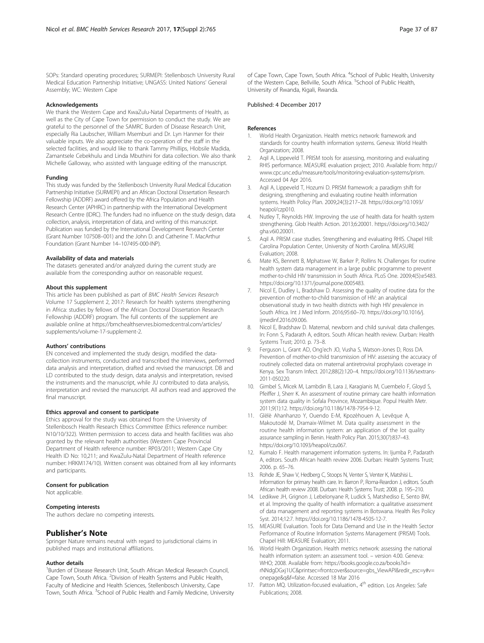<span id="page-12-0"></span>SOPs: Standard operating procedures; SURMEPI: Stellenbosch University Rural Medical Education Partnership Initiative; UNGASS: United Nations' General Assembly; WC: Western Cape

#### Acknowledgements

We thank the Western Cape and KwaZulu-Natal Departments of Health, as well as the City of Cape Town for permission to conduct the study. We are grateful to the personnel of the SAMRC Burden of Disease Research Unit, especially Ria Laubscher, William Msemburi and Dr. Lyn Hanmer for their valuable inputs. We also appreciate the co-operation of the staff in the selected facilities, and would like to thank Tammy Phillips, Hlobsile Madida, Zamantsele Cebekhulu and Linda Mbuthini for data collection. We also thank Michelle Galloway, who assisted with language editing of the manuscript.

#### Funding

This study was funded by the Stellenbosch University Rural Medical Education Partnership Initiative (SURMEPI) and an African Doctoral Dissertation Research Fellowship (ADDRF) award offered by the Africa Population and Health Research Center (APHRC) in partnership with the International Development Research Centre (IDRC). The funders had no influence on the study design, data collection, analysis, interpretation of data, and writing of this manuscript. Publication was funded by the International Development Research Center (Grant Number 107508–001) and the John D. and Catherine T. MacArthur Foundation (Grant Number 14–107495-000-INP).

#### Availability of data and materials

The datasets generated and/or analyzed during the current study are available from the corresponding author on reasonable request.

#### About this supplement

This article has been published as part of BMC Health Services Research Volume 17 Supplement 2, 2017: Research for health systems strengthening in Africa: studies by fellows of the African Doctoral Dissertation Research Fellowship (ADDRF) program. The full contents of the supplement are available online at [https://bmchealthservres.biomedcentral.com/articles/](https://bmchealthservres.biomedcentral.com/articles/supplements/volume-17-supplement-2) [supplements/volume-17-supplement-2.](https://bmchealthservres.biomedcentral.com/articles/supplements/volume-17-supplement-2)

#### Authors' contributions

EN conceived and implemented the study design, modified the datacollection instruments, conducted and transcribed the interviews, performed data analysis and interpretation, drafted and revised the manuscript. DB and LD contributed to the study design, data analysis and interpretation, revised the instruments and the manuscript, while JU contributed to data analysis, interpretation and revised the manuscript. All authors read and approved the final manuscript.

#### Ethics approval and consent to participate

Ethics approval for the study was obtained from the University of Stellenbosch Health Research Ethics Committee (Ethics reference number: N10/10/322). Written permission to access data and health facilities was also granted by the relevant health authorities (Western Cape Provincial Department of Health reference number: RP03/2011; Western Cape City Health ID No: 10,211; and KwaZulu-Natal Department of Health reference number: HRKM174/10). Written consent was obtained from all key informants and participants.

#### Consent for publication

Not applicable.

#### Competing interests

The authors declare no competing interests.

#### Publisher's Note

Springer Nature remains neutral with regard to jurisdictional claims in published maps and institutional affiliations.

#### Author details

<sup>1</sup>Burden of Disease Research Unit, South African Medical Research Council, Cape Town, South Africa. <sup>2</sup>Division of Health Systems and Public Health, Faculty of Medicine and Health Sciences, Stellenbosch University, Cape Town, South Africa. <sup>3</sup>School of Public Health and Family Medicine, University

#### Published: 4 December 2017

#### References

- 1. World Health Organization. Health metrics network: framework and standards for country health information systems. Geneva: World Health Organization; 2008.
- Aqil A, Lippeveld T. PRISM tools for assessing, monitoring and evaluating RHIS performance. MEASURE evaluation project; 2010. Available from: [http://](http://www.cpc.unc.edu/measure/tools/monitoring-evaluation-systems/prism) [www.cpc.unc.edu/measure/tools/monitoring-evaluation-systems/prism.](http://www.cpc.unc.edu/measure/tools/monitoring-evaluation-systems/prism) Accessed 04 Apr 2016.
- 3. Aqil A, Lippeveld T, Hozumi D. PRISM framework: a paradigm shift for designing, strengthening and evaluating routine health information systems. Health Policy Plan. 2009;24(3):217–28. [https://doi.org/10.1093/](http://dx.doi.org/10.1093/heapol/czp010) [heapol/czp010.](http://dx.doi.org/10.1093/heapol/czp010)
- 4. Nutley T, Reynolds HW. Improving the use of health data for health system strengthening. Glob Health Action. 2013;6:20001. [https://doi.org/10.3402/](http://dx.doi.org/10.3402/gha.v6i0.20001) [gha.v6i0.20001](http://dx.doi.org/10.3402/gha.v6i0.20001).
- 5. Aqil A. PRISM case studies. Strengthening and evaluating RHIS. Chapel Hill: Carolina Population Center, University of North Carolina. MEASURE Evaluation; 2008.
- Mate KS, Bennett B, Mphatswe W, Barker P, Rollins N. Challenges for routine health system data management in a large public programme to prevent mother-to-child HIV transmission in South Africa. PLoS One. 2009;4(5):e5483. [https://doi.org/10.1371/journal.pone.0005483.](http://dx.doi.org/10.1371/journal.pone.0005483)
- 7. Nicol E, Dudley L, Bradshaw D. Assessing the quality of routine data for the prevention of mother-to-child transmission of HIV: an analytical observational study in two health districts with high HIV prevalence in South Africa. Int J Med Inform. 2016;95:60–70. [https://doi.org/10.1016/j.](http://dx.doi.org/10.1016/j.ijmedinf.2016.09.006) iimedinf.2016.09.006.
- 8. Nicol E, Bradshaw D. Maternal, newborn and child survival: data challenges. In: Fonn S, Padarath A, editors. South African health review. Durban: Health Systems Trust; 2010. p. 73–8.
- 9. Ferguson L, Grant AD, Ong'ech JO, Vusha S, Watson-Jones D, Ross DA. Prevention of mother-to-child transmission of HIV: assessing the accuracy of routinely collected data on maternal antiretroviral prophylaxis coverage in Kenya. Sex Transm Infect. 2012;88(2):120–4. [https://doi.org/10.1136/sextrans-](http://dx.doi.org/10.1136/sextrans-2011-050220)[2011-050220.](http://dx.doi.org/10.1136/sextrans-2011-050220)
- 10. Gimbel S, Micek M, Lambdin B, Lara J, Karagianis M, Cuembelo F, Gloyd S, Pfeiffer J, Sherr K. An assessment of routine primary care health information system data quality in Sofala Province, Mozambique. Popul Health Metr. 2011;9(1):12. [https://doi.org/10.1186/1478-7954-9-12](http://dx.doi.org/10.1186/1478-7954-9-12).
- 11. Glèlè Ahanhanzo Y, Ouendo E-M, Kpozèhouen A, Levêque A, Makoutodé M, Dramaix-Wilmet M. Data quality assessment in the routine health information system: an application of the lot quality assurance sampling in Benin. Health Policy Plan. 2015;30(7):837–43. [https://doi.org/10.1093/heapol/czu067](http://dx.doi.org/10.1093/heapol/czu067).
- 12. Kumalo F. Health management information systems. In: Ijumba P, Padarath A, editors. South African health review 2006. Durban: Health Systems Trust; 2006. p. 65–76.
- 13. Rohde JE, Shaw V, Hedberg C, Stoops N, Venter S, Venter K, Matshisi L. Information for primary health care. In: Barron P, Roma-Reardon J, editors. South African health review 2008. Durban: Health Systems Trust; 2008. p. 195–210.
- 14. Ledikwe JH, Grignon J, Lebelonyane R, Ludick S, Matshediso E, Sento BW, et al. Improving the quality of health information: a qualitative assessment of data management and reporting systems in Botswana. Health Res Policy Syst. 2014;12:7. [https://doi.org/10.1186/1478-4505-12-7.](http://dx.doi.org/10.1186/1478-4505-12-7)
- 15. MEASURE Evaluation. Tools for Data Demand and Use in the Health Sector Performance of Routine Information Systems Management (PRISM) Tools. Chapel Hill: MEASURE Evaluation; 2011.
- 16. World Health Organization. Health metrics network: assessing the national health information system: an assessment tool. – version 4.00. Geneva: WHO; 2008. Available from: https://books.google.co.za/books?id= rNNdgDGxj1UC&printsec=frontcover&source=gbs\_ViewAPI&redir\_esc=y#v= onepage&q&f=false. Accessed 18 Mar 2016
- 17. Patton MQ. Utilization-focused evaluation., 4<sup>th</sup> edition. Los Angeles: Safe Publications; 2008.